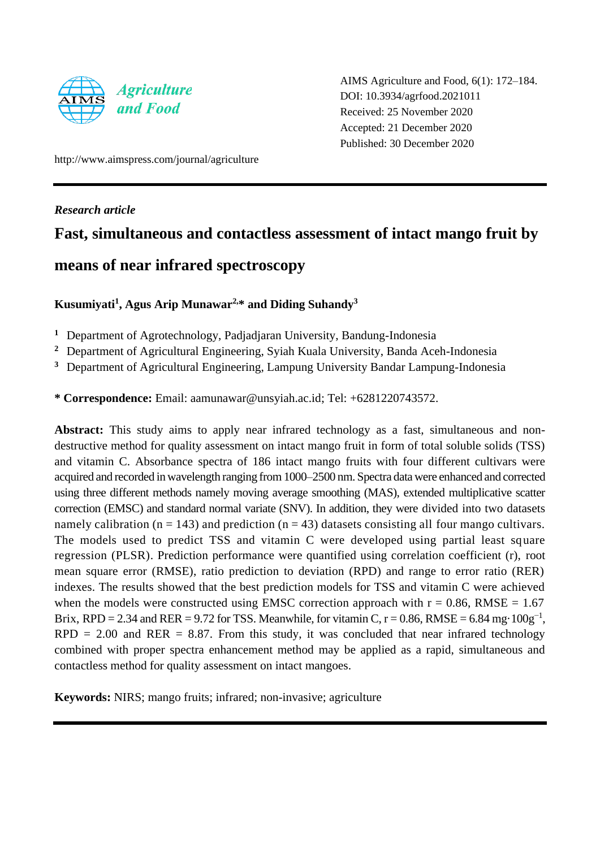

AIMS Agriculture and Food, 6(1): 172–184. DOI: 10.3934/agrfood.2021011 Received: 25 November 2020 Accepted: 21 December 2020 Published: 30 December 2020

http://www.aimspress.com/journal/agriculture

*Research article*

# **Fast, simultaneous and contactless assessment of intact mango fruit by**

# **means of near infrared spectroscopy**

**Kusumiyati<sup>1</sup> , Agus Arip Munawar2,\* and Diding Suhandy<sup>3</sup>**

**<sup>1</sup>** Department of Agrotechnology, Padjadjaran University, Bandung-Indonesia

**<sup>2</sup>** Department of Agricultural Engineering, Syiah Kuala University, Banda Aceh-Indonesia

**<sup>3</sup>** Department of Agricultural Engineering, Lampung University Bandar Lampung-Indonesia

**\* Correspondence:** Email: aamunawar@unsyiah.ac.id; Tel: +6281220743572.

Abstract: This study aims to apply near infrared technology as a fast, simultaneous and nondestructive method for quality assessment on intact mango fruit in form of total soluble solids (TSS) and vitamin C. Absorbance spectra of 186 intact mango fruits with four different cultivars were acquired and recorded in wavelength ranging from 1000–2500 nm. Spectra data were enhanced and corrected using three different methods namely moving average smoothing (MAS), extended multiplicative scatter correction (EMSC) and standard normal variate (SNV). In addition, they were divided into two datasets namely calibration ( $n = 143$ ) and prediction ( $n = 43$ ) datasets consisting all four mango cultivars. The models used to predict TSS and vitamin C were developed using partial least square regression (PLSR). Prediction performance were quantified using correlation coefficient (r), root mean square error (RMSE), ratio prediction to deviation (RPD) and range to error ratio (RER) indexes. The results showed that the best prediction models for TSS and vitamin C were achieved when the models were constructed using EMSC correction approach with  $r = 0.86$ , RMSE = 1.67 Brix, RPD = 2.34 and RER = 9.72 for TSS. Meanwhile, for vitamin C,  $r = 0.86$ , RMSE = 6.84 mg·100g<sup>-1</sup>,  $RPD = 2.00$  and  $RER = 8.87$ . From this study, it was concluded that near infrared technology combined with proper spectra enhancement method may be applied as a rapid, simultaneous and contactless method for quality assessment on intact mangoes.

**Keywords:** NIRS; mango fruits; infrared; non-invasive; agriculture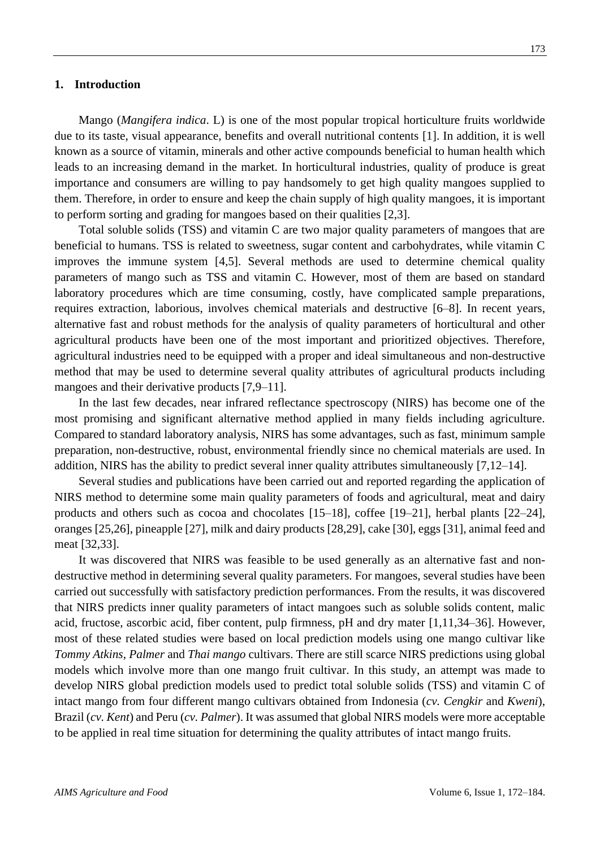### **1. Introduction**

Mango (*Mangifera indica*. L) is one of the most popular tropical horticulture fruits worldwide due to its taste, visual appearance, benefits and overall nutritional contents [1]. In addition, it is well known as a source of vitamin, minerals and other active compounds beneficial to human health which leads to an increasing demand in the market. In horticultural industries, quality of produce is great importance and consumers are willing to pay handsomely to get high quality mangoes supplied to them. Therefore, in order to ensure and keep the chain supply of high quality mangoes, it is important to perform sorting and grading for mangoes based on their qualities [2,3].

Total soluble solids (TSS) and vitamin C are two major quality parameters of mangoes that are beneficial to humans. TSS is related to sweetness, sugar content and carbohydrates, while vitamin C improves the immune system [4,5]. Several methods are used to determine chemical quality parameters of mango such as TSS and vitamin C. However, most of them are based on standard laboratory procedures which are time consuming, costly, have complicated sample preparations, requires extraction, laborious, involves chemical materials and destructive [6–8]. In recent years, alternative fast and robust methods for the analysis of quality parameters of horticultural and other agricultural products have been one of the most important and prioritized objectives. Therefore, agricultural industries need to be equipped with a proper and ideal simultaneous and non-destructive method that may be used to determine several quality attributes of agricultural products including mangoes and their derivative products [7,9–11].

In the last few decades, near infrared reflectance spectroscopy (NIRS) has become one of the most promising and significant alternative method applied in many fields including agriculture. Compared to standard laboratory analysis, NIRS has some advantages, such as fast, minimum sample preparation, non-destructive, robust, environmental friendly since no chemical materials are used. In addition, NIRS has the ability to predict several inner quality attributes simultaneously [7,12–14].

Several studies and publications have been carried out and reported regarding the application of NIRS method to determine some main quality parameters of foods and agricultural, meat and dairy products and others such as cocoa and chocolates [15–18], coffee [19–21], herbal plants [22–24], oranges [25,26], pineapple [27], milk and dairy products [28,29], cake [30], eggs [31], animal feed and meat [32,33].

It was discovered that NIRS was feasible to be used generally as an alternative fast and nondestructive method in determining several quality parameters. For mangoes, several studies have been carried out successfully with satisfactory prediction performances. From the results, it was discovered that NIRS predicts inner quality parameters of intact mangoes such as soluble solids content, malic acid, fructose, ascorbic acid, fiber content, pulp firmness, pH and dry mater [1,11,34–36]. However, most of these related studies were based on local prediction models using one mango cultivar like *Tommy Atkins*, *Palmer* and *Thai mango* cultivars. There are still scarce NIRS predictions using global models which involve more than one mango fruit cultivar. In this study, an attempt was made to develop NIRS global prediction models used to predict total soluble solids (TSS) and vitamin C of intact mango from four different mango cultivars obtained from Indonesia (*cv. Cengkir* and *Kweni*), Brazil (*cv. Kent*) and Peru (*cv. Palmer*). It was assumed that global NIRS models were more acceptable to be applied in real time situation for determining the quality attributes of intact mango fruits.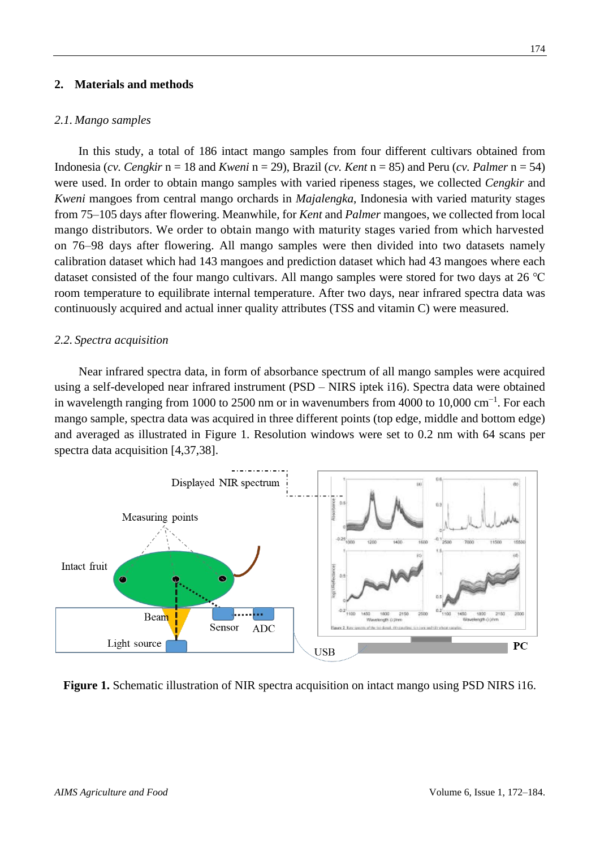### **2. Materials and methods**

### *2.1. Mango samples*

In this study, a total of 186 intact mango samples from four different cultivars obtained from Indonesia (*cv. Cengkir* n = 18 and *Kweni* n = 29), Brazil (*cv. Kent* n = 85) and Peru (*cv. Palmer* n = 54) were used. In order to obtain mango samples with varied ripeness stages, we collected *Cengkir* and *Kweni* mangoes from central mango orchards in *Majalengka*, Indonesia with varied maturity stages from 75–105 days after flowering. Meanwhile, for *Kent* and *Palmer* mangoes, we collected from local mango distributors. We order to obtain mango with maturity stages varied from which harvested on 76–98 days after flowering. All mango samples were then divided into two datasets namely calibration dataset which had 143 mangoes and prediction dataset which had 43 mangoes where each dataset consisted of the four mango cultivars. All mango samples were stored for two days at 26 ℃ room temperature to equilibrate internal temperature. After two days, near infrared spectra data was continuously acquired and actual inner quality attributes (TSS and vitamin C) were measured.

### *2.2. Spectra acquisition*

Near infrared spectra data, in form of absorbance spectrum of all mango samples were acquired using a self-developed near infrared instrument (PSD – NIRS iptek i16). Spectra data were obtained in wavelength ranging from 1000 to 2500 nm or in wavenumbers from 4000 to 10,000 cm<sup>-1</sup>. For each mango sample, spectra data was acquired in three different points (top edge, middle and bottom edge) and averaged as illustrated in Figure 1. Resolution windows were set to 0.2 nm with 64 scans per spectra data acquisition [4,37,38].



**Figure 1.** Schematic illustration of NIR spectra acquisition on intact mango using PSD NIRS i16.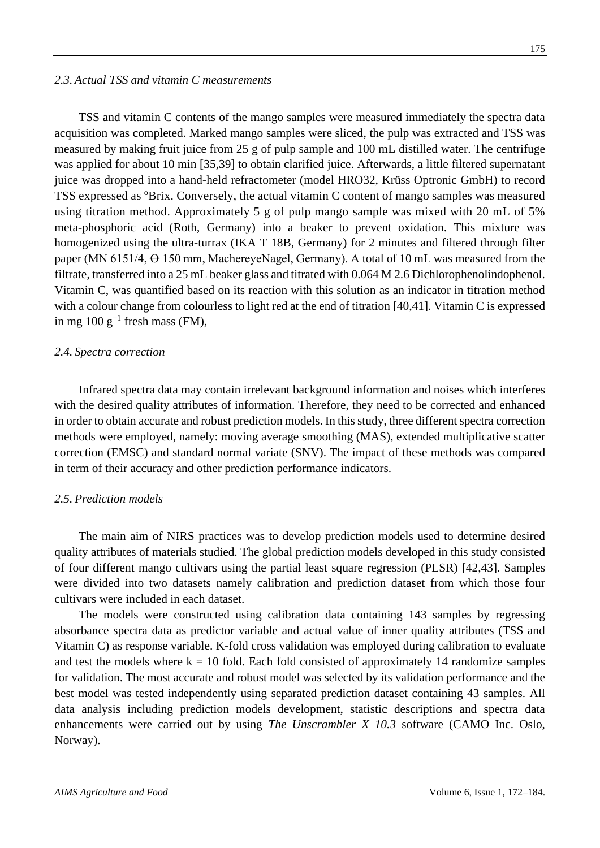TSS and vitamin C contents of the mango samples were measured immediately the spectra data acquisition was completed. Marked mango samples were sliced, the pulp was extracted and TSS was measured by making fruit juice from 25 g of pulp sample and 100 mL distilled water. The centrifuge was applied for about 10 min [35,39] to obtain clarified juice. Afterwards, a little filtered supernatant juice was dropped into a hand-held refractometer (model HRO32, Krüss Optronic GmbH) to record TSS expressed as <sup>o</sup>Brix. Conversely, the actual vitamin C content of mango samples was measured using titration method. Approximately 5 g of pulp mango sample was mixed with 20 mL of 5% meta-phosphoric acid (Roth, Germany) into a beaker to prevent oxidation. This mixture was homogenized using the ultra-turrax (IKA T 18B, Germany) for 2 minutes and filtered through filter paper (MN 6151/4,  $\Theta$  150 mm, MachereyeNagel, Germany). A total of 10 mL was measured from the filtrate, transferred into a 25 mL beaker glass and titrated with 0.064 M 2.6 Dichlorophenolindophenol. Vitamin C, was quantified based on its reaction with this solution as an indicator in titration method with a colour change from colourless to light red at the end of titration [40,41]. Vitamin C is expressed in mg 100 g<sup>-1</sup> fresh mass (FM),

### *2.4. Spectra correction*

Infrared spectra data may contain irrelevant background information and noises which interferes with the desired quality attributes of information. Therefore, they need to be corrected and enhanced in order to obtain accurate and robust prediction models. In this study, three different spectra correction methods were employed, namely: moving average smoothing (MAS), extended multiplicative scatter correction (EMSC) and standard normal variate (SNV). The impact of these methods was compared in term of their accuracy and other prediction performance indicators.

## *2.5. Prediction models*

The main aim of NIRS practices was to develop prediction models used to determine desired quality attributes of materials studied. The global prediction models developed in this study consisted of four different mango cultivars using the partial least square regression (PLSR) [42,43]. Samples were divided into two datasets namely calibration and prediction dataset from which those four cultivars were included in each dataset.

The models were constructed using calibration data containing 143 samples by regressing absorbance spectra data as predictor variable and actual value of inner quality attributes (TSS and Vitamin C) as response variable. K-fold cross validation was employed during calibration to evaluate and test the models where  $k = 10$  fold. Each fold consisted of approximately 14 randomize samples for validation. The most accurate and robust model was selected by its validation performance and the best model was tested independently using separated prediction dataset containing 43 samples. All data analysis including prediction models development, statistic descriptions and spectra data enhancements were carried out by using *The Unscrambler X 10.3* software (CAMO Inc. Oslo, Norway).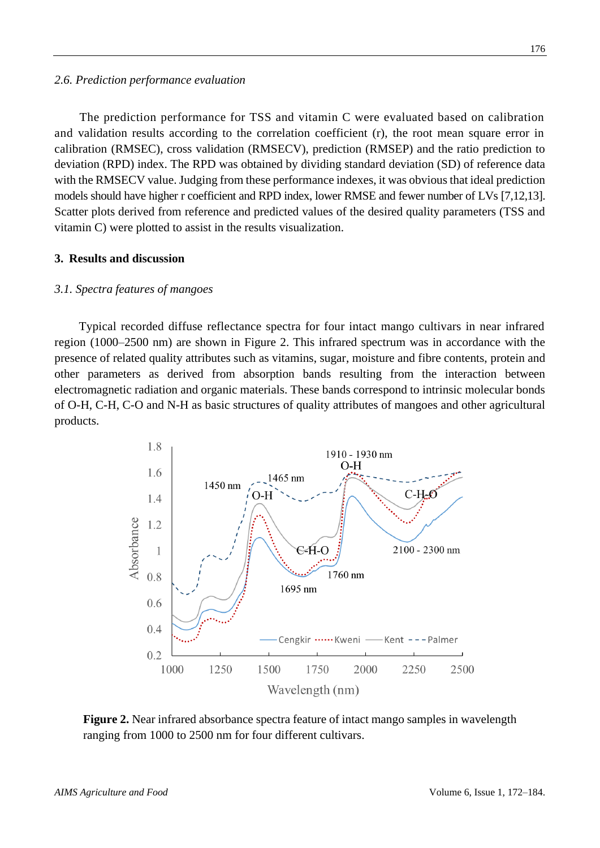#### *2.6. Prediction performance evaluation*

The prediction performance for TSS and vitamin C were evaluated based on calibration and validation results according to the correlation coefficient (r), the root mean square error in calibration (RMSEC), cross validation (RMSECV), prediction (RMSEP) and the ratio prediction to deviation (RPD) index. The RPD was obtained by dividing standard deviation (SD) of reference data with the RMSECV value. Judging from these performance indexes, it was obvious that ideal prediction models should have higher r coefficient and RPD index, lower RMSE and fewer number of LVs [7,12,13]. Scatter plots derived from reference and predicted values of the desired quality parameters (TSS and vitamin C) were plotted to assist in the results visualization.

### **3. Results and discussion**

### *3.1. Spectra features of mangoes*

Typical recorded diffuse reflectance spectra for four intact mango cultivars in near infrared region (1000–2500 nm) are shown in Figure 2. This infrared spectrum was in accordance with the presence of related quality attributes such as vitamins, sugar, moisture and fibre contents, protein and other parameters as derived from absorption bands resulting from the interaction between electromagnetic radiation and organic materials. These bands correspond to intrinsic molecular bonds of O-H, C-H, C-O and N-H as basic structures of quality attributes of mangoes and other agricultural products.



**Figure 2.** Near infrared absorbance spectra feature of intact mango samples in wavelength ranging from 1000 to 2500 nm for four different cultivars.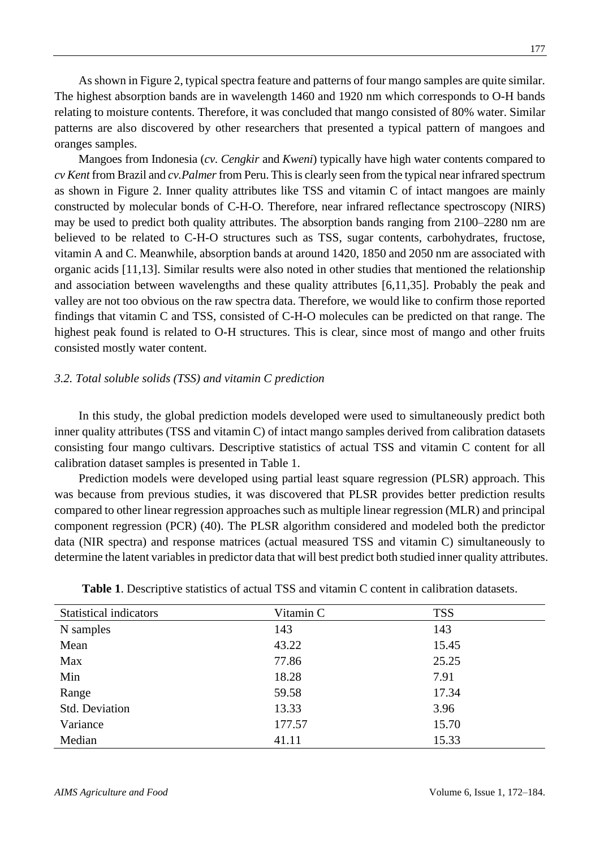As shown in Figure 2, typical spectra feature and patterns of four mango samples are quite similar. The highest absorption bands are in wavelength 1460 and 1920 nm which corresponds to O-H bands relating to moisture contents. Therefore, it was concluded that mango consisted of 80% water. Similar patterns are also discovered by other researchers that presented a typical pattern of mangoes and oranges samples.

Mangoes from Indonesia (*cv. Cengkir* and *Kweni*) typically have high water contents compared to *cv Kent* from Brazil and *cv.Palmer*from Peru. This is clearly seen from the typical near infrared spectrum as shown in Figure 2. Inner quality attributes like TSS and vitamin C of intact mangoes are mainly constructed by molecular bonds of C-H-O. Therefore, near infrared reflectance spectroscopy (NIRS) may be used to predict both quality attributes. The absorption bands ranging from 2100–2280 nm are believed to be related to C-H-O structures such as TSS, sugar contents, carbohydrates, fructose, vitamin A and C. Meanwhile, absorption bands at around 1420, 1850 and 2050 nm are associated with organic acids [11,13]. Similar results were also noted in other studies that mentioned the relationship and association between wavelengths and these quality attributes [6,11,35]. Probably the peak and valley are not too obvious on the raw spectra data. Therefore, we would like to confirm those reported findings that vitamin C and TSS, consisted of C-H-O molecules can be predicted on that range. The highest peak found is related to O-H structures. This is clear, since most of mango and other fruits consisted mostly water content.

### *3.2. Total soluble solids (TSS) and vitamin C prediction*

In this study, the global prediction models developed were used to simultaneously predict both inner quality attributes (TSS and vitamin C) of intact mango samples derived from calibration datasets consisting four mango cultivars. Descriptive statistics of actual TSS and vitamin C content for all calibration dataset samples is presented in Table 1.

Prediction models were developed using partial least square regression (PLSR) approach. This was because from previous studies, it was discovered that PLSR provides better prediction results compared to other linear regression approaches such as multiple linear regression (MLR) and principal component regression (PCR) (40). The PLSR algorithm considered and modeled both the predictor data (NIR spectra) and response matrices (actual measured TSS and vitamin C) simultaneously to determine the latent variables in predictor data that will best predict both studied inner quality attributes.

| <b>Statistical indicators</b> | Vitamin C | <b>TSS</b> |  |
|-------------------------------|-----------|------------|--|
| N samples                     | 143       | 143        |  |
| Mean                          | 43.22     | 15.45      |  |
| Max                           | 77.86     | 25.25      |  |
| Min                           | 18.28     | 7.91       |  |
| Range                         | 59.58     | 17.34      |  |
| <b>Std. Deviation</b>         | 13.33     | 3.96       |  |
| Variance                      | 177.57    | 15.70      |  |
| Median                        | 41.11     | 15.33      |  |

**Table 1**. Descriptive statistics of actual TSS and vitamin C content in calibration datasets.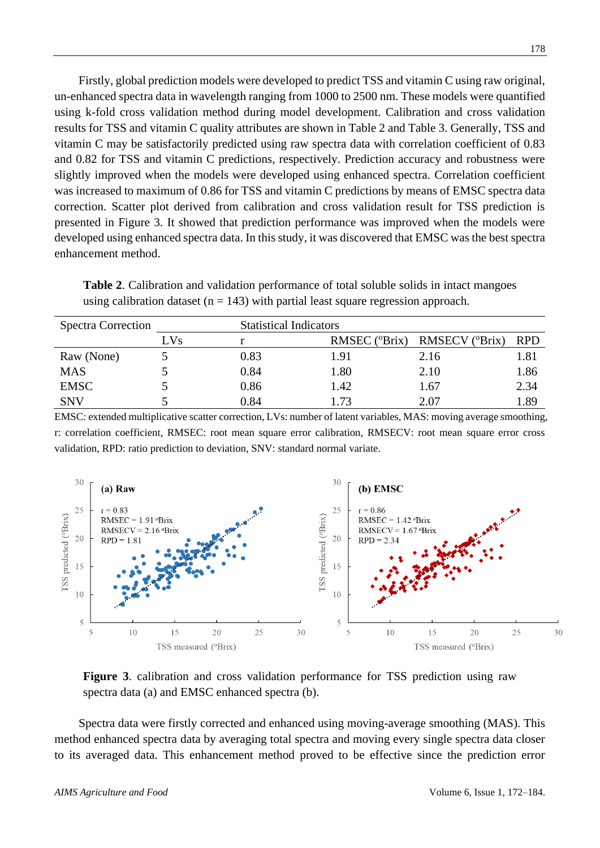Firstly, global prediction models were developed to predict TSS and vitamin C using raw original, un-enhanced spectra data in wavelength ranging from 1000 to 2500 nm. These models were quantified using k-fold cross validation method during model development. Calibration and cross validation results for TSS and vitamin C quality attributes are shown in Table 2 and Table 3. Generally, TSS and vitamin C may be satisfactorily predicted using raw spectra data with correlation coefficient of 0.83 and 0.82 for TSS and vitamin C predictions, respectively. Prediction accuracy and robustness were slightly improved when the models were developed using enhanced spectra. Correlation coefficient was increased to maximum of 0.86 for TSS and vitamin C predictions by means of EMSC spectra data correction. Scatter plot derived from calibration and cross validation result for TSS prediction is presented in Figure 3. It showed that prediction performance was improved when the models were developed using enhanced spectra data. In this study, it was discovered that EMSC was the best spectra enhancement method.

**Table 2**. Calibration and validation performance of total soluble solids in intact mangoes using calibration dataset ( $n = 143$ ) with partial least square regression approach.

| <b>Spectra Correction</b> |      | <b>Statistical Indicators</b> |               |                                           |            |
|---------------------------|------|-------------------------------|---------------|-------------------------------------------|------------|
|                           | LVs. |                               | RMSEC (°Brix) | <b>RMSECV</b> ( <i><sup>o</sup>Brix</i> ) | <b>RPD</b> |
| Raw (None)                |      | 0.83                          | 1.91          | 2.16                                      | 1.81       |
| MAS                       |      | 0.84                          | 1.80          | 2.10                                      | 1.86       |
| <b>EMSC</b>               |      | 0.86                          | 1.42          | 1.67                                      | 2.34       |
| <b>SNV</b>                |      | 0.84                          | .73           | 2.07                                      | 1.89       |

EMSC: extended multiplicative scatter correction, LVs: number of latent variables, MAS: moving average smoothing, r: correlation coefficient, RMSEC: root mean square error calibration, RMSECV: root mean square error cross validation, RPD: ratio prediction to deviation, SNV: standard normal variate.



**Figure 3**. calibration and cross validation performance for TSS prediction using raw spectra data (a) and EMSC enhanced spectra (b).

Spectra data were firstly corrected and enhanced using moving-average smoothing (MAS). This method enhanced spectra data by averaging total spectra and moving every single spectra data closer to its averaged data. This enhancement method proved to be effective since the prediction error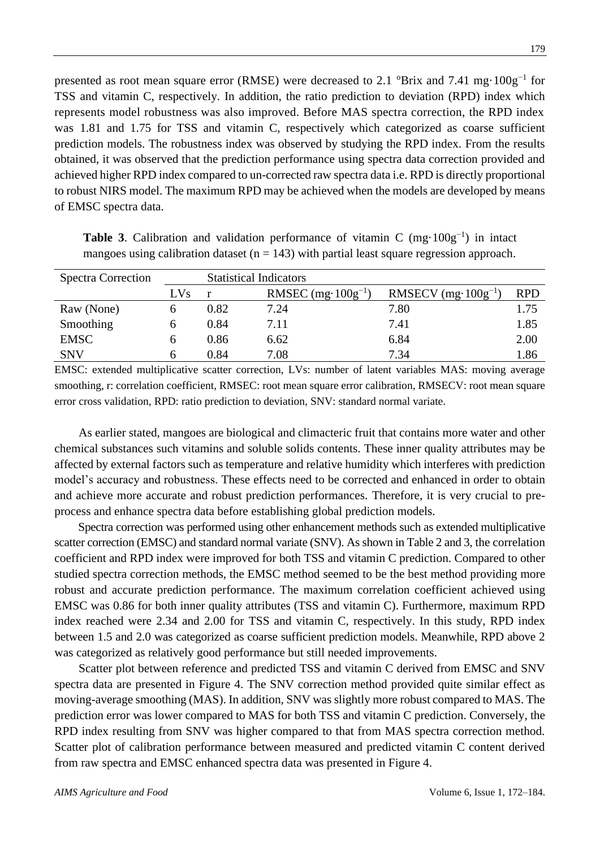presented as root mean square error (RMSE) were decreased to 2.1  $\mathrm{^{\circ}Brix}$  and 7.41 mg $\cdot 100g^{-1}$  for TSS and vitamin C, respectively. In addition, the ratio prediction to deviation (RPD) index which represents model robustness was also improved. Before MAS spectra correction, the RPD index was 1.81 and 1.75 for TSS and vitamin C, respectively which categorized as coarse sufficient prediction models. The robustness index was observed by studying the RPD index. From the results obtained, it was observed that the prediction performance using spectra data correction provided and achieved higher RPD index compared to un-corrected raw spectra data i.e. RPD is directly proportional to robust NIRS model. The maximum RPD may be achieved when the models are developed by means of EMSC spectra data.

| <b>Spectra Correction</b> | <b>Statistical Indicators</b> |      |                              |                               |            |
|---------------------------|-------------------------------|------|------------------------------|-------------------------------|------------|
|                           | LVs                           |      | RMSEC $(mg \cdot 100g^{-1})$ | RMSECV $(mg \cdot 100g^{-1})$ | <b>RPD</b> |
| Raw (None)                |                               | 0.82 | 7.24                         | 7.80                          | 1.75       |
| Smoothing                 |                               | 0.84 | 7.11                         | 7.41                          | 1.85       |
| <b>EMSC</b>               |                               | 0.86 | 6.62                         | 6.84                          | 2.00       |
| <b>SNV</b>                |                               | 0.84 | 7.08                         | 7.34                          | l.86       |

**Table 3**. Calibration and validation performance of vitamin C  $(mg \cdot 100g^{-1})$  in intact mangoes using calibration dataset ( $n = 143$ ) with partial least square regression approach.

EMSC: extended multiplicative scatter correction, LVs: number of latent variables MAS: moving average smoothing, r: correlation coefficient, RMSEC: root mean square error calibration, RMSECV: root mean square error cross validation, RPD: ratio prediction to deviation, SNV: standard normal variate.

As earlier stated, mangoes are biological and climacteric fruit that contains more water and other chemical substances such vitamins and soluble solids contents. These inner quality attributes may be affected by external factors such as temperature and relative humidity which interferes with prediction model's accuracy and robustness. These effects need to be corrected and enhanced in order to obtain and achieve more accurate and robust prediction performances. Therefore, it is very crucial to preprocess and enhance spectra data before establishing global prediction models.

Spectra correction was performed using other enhancement methods such as extended multiplicative scatter correction (EMSC) and standard normal variate (SNV). As shown in Table 2 and 3, the correlation coefficient and RPD index were improved for both TSS and vitamin C prediction. Compared to other studied spectra correction methods, the EMSC method seemed to be the best method providing more robust and accurate prediction performance. The maximum correlation coefficient achieved using EMSC was 0.86 for both inner quality attributes (TSS and vitamin C). Furthermore, maximum RPD index reached were 2.34 and 2.00 for TSS and vitamin C, respectively. In this study, RPD index between 1.5 and 2.0 was categorized as coarse sufficient prediction models. Meanwhile, RPD above 2 was categorized as relatively good performance but still needed improvements.

Scatter plot between reference and predicted TSS and vitamin C derived from EMSC and SNV spectra data are presented in Figure 4. The SNV correction method provided quite similar effect as moving-average smoothing (MAS). In addition, SNV was slightly more robust compared to MAS. The prediction error was lower compared to MAS for both TSS and vitamin C prediction. Conversely, the RPD index resulting from SNV was higher compared to that from MAS spectra correction method. Scatter plot of calibration performance between measured and predicted vitamin C content derived from raw spectra and EMSC enhanced spectra data was presented in Figure 4.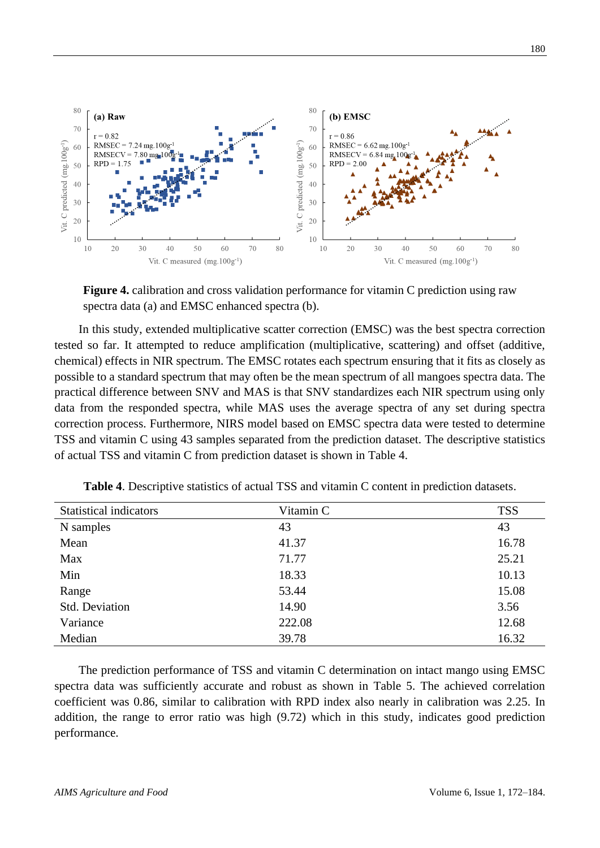

**Figure 4.** calibration and cross validation performance for vitamin C prediction using raw spectra data (a) and EMSC enhanced spectra (b).

In this study, extended multiplicative scatter correction (EMSC) was the best spectra correction tested so far. It attempted to reduce amplification (multiplicative, scattering) and offset (additive, chemical) effects in NIR spectrum. The EMSC rotates each spectrum ensuring that it fits as closely as possible to a standard spectrum that may often be the mean spectrum of all mangoes spectra data. The practical difference between SNV and MAS is that SNV standardizes each NIR spectrum using only data from the responded spectra, while MAS uses the average spectra of any set during spectra correction process. Furthermore, NIRS model based on EMSC spectra data were tested to determine TSS and vitamin C using 43 samples separated from the prediction dataset. The descriptive statistics of actual TSS and vitamin C from prediction dataset is shown in Table 4.

| <b>Statistical indicators</b> | Vitamin C | <b>TSS</b> |
|-------------------------------|-----------|------------|
| N samples                     | 43        | 43         |
| Mean                          | 41.37     | 16.78      |
| Max                           | 71.77     | 25.21      |
| Min                           | 18.33     | 10.13      |
| Range                         | 53.44     | 15.08      |
| Std. Deviation                | 14.90     | 3.56       |
| Variance                      | 222.08    | 12.68      |
| Median                        | 39.78     | 16.32      |

**Table 4**. Descriptive statistics of actual TSS and vitamin C content in prediction datasets.

The prediction performance of TSS and vitamin C determination on intact mango using EMSC spectra data was sufficiently accurate and robust as shown in Table 5. The achieved correlation coefficient was 0.86, similar to calibration with RPD index also nearly in calibration was 2.25. In addition, the range to error ratio was high (9.72) which in this study, indicates good prediction performance.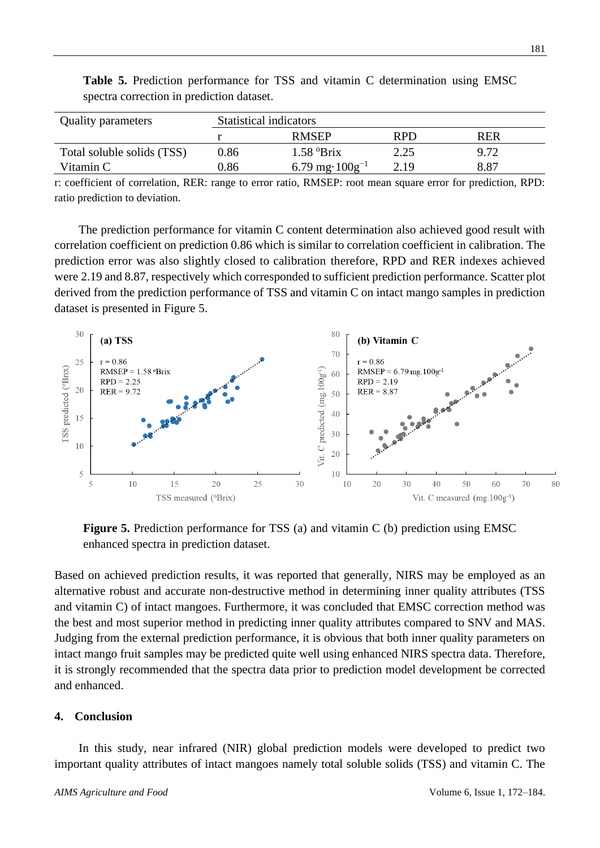| <b>Quality parameters</b>  | <b>Statistical indicators</b> |                        |            |      |  |
|----------------------------|-------------------------------|------------------------|------------|------|--|
|                            |                               | <b>RMSEP</b>           | <b>RPD</b> | RER  |  |
| Total soluble solids (TSS) | 0.86                          | $1.58$ $\mathrm{Brix}$ | 2.25       | 9.72 |  |
| Vitamin C                  | 0.86                          | 6.79 mg· $100g^{-1}$   | 2.19       | 8.87 |  |

**Table 5.** Prediction performance for TSS and vitamin C determination using EMSC spectra correction in prediction dataset.

r: coefficient of correlation, RER: range to error ratio, RMSEP: root mean square error for prediction, RPD: ratio prediction to deviation.

The prediction performance for vitamin C content determination also achieved good result with correlation coefficient on prediction 0.86 which is similar to correlation coefficient in calibration. The prediction error was also slightly closed to calibration therefore, RPD and RER indexes achieved were 2.19 and 8.87, respectively which corresponded to sufficient prediction performance. Scatter plot derived from the prediction performance of TSS and vitamin C on intact mango samples in prediction dataset is presented in Figure 5.



**Figure 5.** Prediction performance for TSS (a) and vitamin C (b) prediction using EMSC enhanced spectra in prediction dataset.

Based on achieved prediction results, it was reported that generally, NIRS may be employed as an alternative robust and accurate non-destructive method in determining inner quality attributes (TSS and vitamin C) of intact mangoes. Furthermore, it was concluded that EMSC correction method was the best and most superior method in predicting inner quality attributes compared to SNV and MAS. Judging from the external prediction performance, it is obvious that both inner quality parameters on intact mango fruit samples may be predicted quite well using enhanced NIRS spectra data. Therefore, it is strongly recommended that the spectra data prior to prediction model development be corrected and enhanced.

### **4. Conclusion**

In this study, near infrared (NIR) global prediction models were developed to predict two important quality attributes of intact mangoes namely total soluble solids (TSS) and vitamin C. The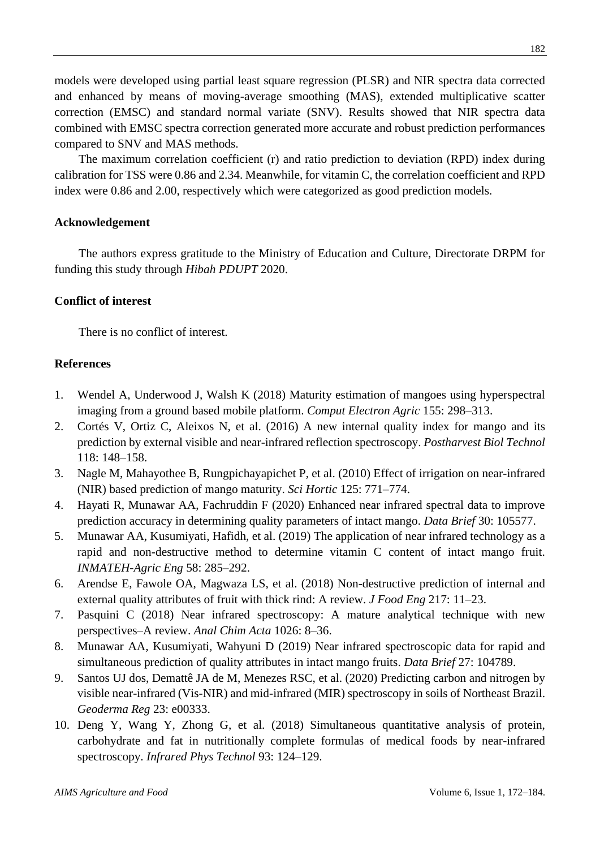models were developed using partial least square regression (PLSR) and NIR spectra data corrected and enhanced by means of moving-average smoothing (MAS), extended multiplicative scatter correction (EMSC) and standard normal variate (SNV). Results showed that NIR spectra data combined with EMSC spectra correction generated more accurate and robust prediction performances compared to SNV and MAS methods.

The maximum correlation coefficient (r) and ratio prediction to deviation (RPD) index during calibration for TSS were 0.86 and 2.34. Meanwhile, for vitamin C, the correlation coefficient and RPD index were 0.86 and 2.00, respectively which were categorized as good prediction models.

### **Acknowledgement**

The authors express gratitude to the Ministry of Education and Culture, Directorate DRPM for funding this study through *Hibah PDUPT* 2020.

## **Conflict of interest**

There is no conflict of interest.

### **References**

- 1. Wendel A, Underwood J, Walsh K (2018) Maturity estimation of mangoes using hyperspectral imaging from a ground based mobile platform. *Comput Electron Agric* 155: 298–313.
- 2. Cortés V, Ortiz C, Aleixos N, et al. (2016) A new internal quality index for mango and its prediction by external visible and near-infrared reflection spectroscopy. *Postharvest Biol Technol* 118: 148–158.
- 3. Nagle M, Mahayothee B, Rungpichayapichet P, et al. (2010) Effect of irrigation on near-infrared (NIR) based prediction of mango maturity. *Sci Hortic* 125: 771–774.
- 4. Hayati R, Munawar AA, Fachruddin F (2020) Enhanced near infrared spectral data to improve prediction accuracy in determining quality parameters of intact mango. *Data Brief* 30: 105577.
- 5. Munawar AA, Kusumiyati, Hafidh, et al. (2019) The application of near infrared technology as a rapid and non-destructive method to determine vitamin C content of intact mango fruit. *INMATEH-Agric Eng* 58: 285–292.
- 6. Arendse E, Fawole OA, Magwaza LS, et al. (2018) Non-destructive prediction of internal and external quality attributes of fruit with thick rind: A review. *J Food Eng* 217: 11–23.
- 7. Pasquini C (2018) Near infrared spectroscopy: A mature analytical technique with new perspectives–A review. *Anal Chim Acta* 1026: 8–36.
- 8. Munawar AA, Kusumiyati, Wahyuni D (2019) Near infrared spectroscopic data for rapid and simultaneous prediction of quality attributes in intact mango fruits. *Data Brief* 27: 104789.
- 9. Santos UJ dos, Demattê JA de M, Menezes RSC, et al. (2020) Predicting carbon and nitrogen by visible near-infrared (Vis-NIR) and mid-infrared (MIR) spectroscopy in soils of Northeast Brazil. *Geoderma Reg* 23: e00333.
- 10. Deng Y, Wang Y, Zhong G, et al. (2018) Simultaneous quantitative analysis of protein, carbohydrate and fat in nutritionally complete formulas of medical foods by near-infrared spectroscopy. *Infrared Phys Technol* 93: 124–129.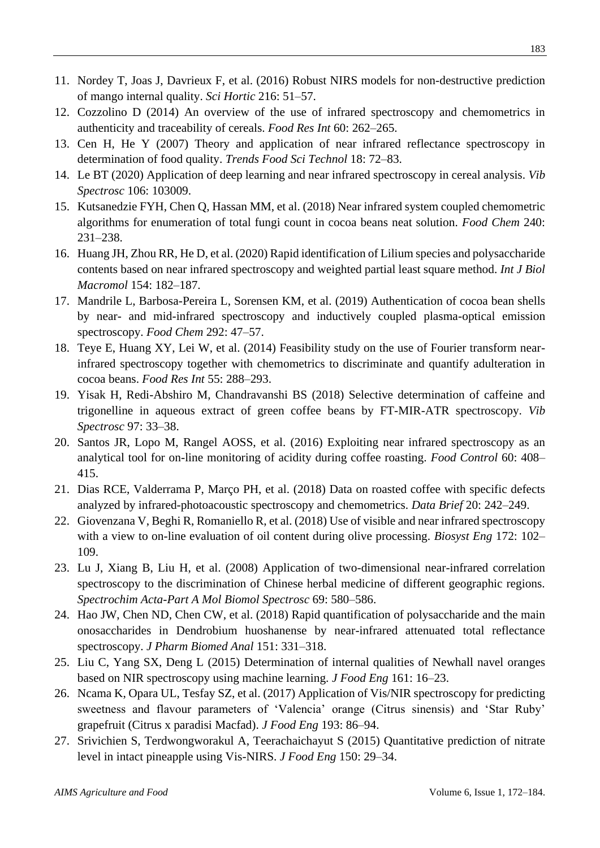- 11. Nordey T, Joas J, Davrieux F, et al. (2016) Robust NIRS models for non-destructive prediction of mango internal quality. *Sci Hortic* 216: 51–57.
- 12. Cozzolino D (2014) An overview of the use of infrared spectroscopy and chemometrics in authenticity and traceability of cereals. *Food Res Int* 60: 262–265.
- 13. Cen H, He Y (2007) Theory and application of near infrared reflectance spectroscopy in determination of food quality. *Trends Food Sci Technol* 18: 72–83.
- 14. Le BT (2020) Application of deep learning and near infrared spectroscopy in cereal analysis. *Vib Spectrosc* 106: 103009.
- 15. Kutsanedzie FYH, Chen Q, Hassan MM, et al. (2018) Near infrared system coupled chemometric algorithms for enumeration of total fungi count in cocoa beans neat solution. *Food Chem* 240: 231–238.
- 16. Huang JH, Zhou RR, He D, et al. (2020) Rapid identification of Lilium species and polysaccharide contents based on near infrared spectroscopy and weighted partial least square method. *Int J Biol Macromol* 154: 182–187.
- 17. Mandrile L, Barbosa-Pereira L, Sorensen KM, et al. (2019) Authentication of cocoa bean shells by near- and mid-infrared spectroscopy and inductively coupled plasma-optical emission spectroscopy. *Food Chem* 292: 47–57.
- 18. Teye E, Huang XY, Lei W, et al. (2014) Feasibility study on the use of Fourier transform nearinfrared spectroscopy together with chemometrics to discriminate and quantify adulteration in cocoa beans. *Food Res Int* 55: 288–293.
- 19. Yisak H, Redi-Abshiro M, Chandravanshi BS (2018) Selective determination of caffeine and trigonelline in aqueous extract of green coffee beans by FT-MIR-ATR spectroscopy. *Vib Spectrosc* 97: 33–38.
- 20. Santos JR, Lopo M, Rangel AOSS, et al. (2016) Exploiting near infrared spectroscopy as an analytical tool for on-line monitoring of acidity during coffee roasting. *Food Control* 60: 408– 415.
- 21. Dias RCE, Valderrama P, Março PH, et al. (2018) Data on roasted coffee with specific defects analyzed by infrared-photoacoustic spectroscopy and chemometrics. *Data Brief* 20: 242–249.
- 22. Giovenzana V, Beghi R, Romaniello R, et al. (2018) Use of visible and near infrared spectroscopy with a view to on-line evaluation of oil content during olive processing. *Biosyst Eng* 172: 102– 109.
- 23. Lu J, Xiang B, Liu H, et al. (2008) Application of two-dimensional near-infrared correlation spectroscopy to the discrimination of Chinese herbal medicine of different geographic regions. *Spectrochim Acta-Part A Mol Biomol Spectrosc* 69: 580–586.
- 24. Hao JW, Chen ND, Chen CW, et al. (2018) Rapid quantification of polysaccharide and the main onosaccharides in Dendrobium huoshanense by near-infrared attenuated total reflectance spectroscopy. *J Pharm Biomed Anal* 151: 331–318.
- 25. Liu C, Yang SX, Deng L (2015) Determination of internal qualities of Newhall navel oranges based on NIR spectroscopy using machine learning. *J Food Eng* 161: 16–23.
- 26. Ncama K, Opara UL, Tesfay SZ, et al. (2017) Application of Vis/NIR spectroscopy for predicting sweetness and flavour parameters of 'Valencia' orange (Citrus sinensis) and 'Star Ruby' grapefruit (Citrus x paradisi Macfad). *J Food Eng* 193: 86–94.
- 27. Srivichien S, Terdwongworakul A, Teerachaichayut S (2015) Quantitative prediction of nitrate level in intact pineapple using Vis-NIRS. *J Food Eng* 150: 29–34.